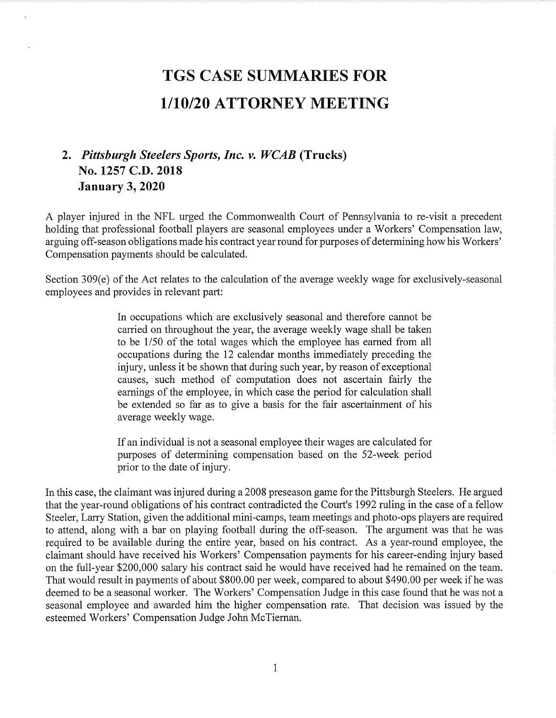## TGS CASE SUMMARIES FOR<br>1/10/20 ATTORNEY MEETING

## 2. Pittsburgh Steelers Sports, Inc. v. WCAB (Trucks) No. 1257 C.D. 2018 January 3, 2020

A player injured in the NFL urged the Commonwealth Court of Pennsylvania to re-visit a precedent holding that professional football players are seasonal employees under a Workers' Compensation law, arguing off-season obligations made his contract year round for purposes of determining how his Workers' Compensation payments should be calculated.

Section 309(e) of the Act relates to the calculation of the average weekly wage for exclusively-seasonal employees and provides in relevant part:

> In occupations which are exclusively seasonal and therefore cannot be carried on throughout the year, the average weekly wage shall be taken to be 1/50 of the total wages which the employee has earned from all occupations during the 12 calendar months immediately preceding the injury, unless it be shown that during such year, by reason of exceptional causes, such method of computation does not ascertain fairly the earnings of the employee, in which case the period for calculation shall be extended so far as to give a basis for the fair ascertainment of his average weekly wage.

> If an individual is not a seasonal employee their wages are calculated for purposes of determining compensation based on the 52-week period prior to the date of injury.

In this case, the claimant was injured during a 2008 preseason game for the Pittsburgh Steelers. He argued that the year-round obligations of his contract contradicted the Court's 1992 ruling in the case of a fellow Steeler, Larry Station, given the additional mini-camps, team meetings and photo-ops players are required to attend, along with a bar on playing football during the off-season. The argument was that he was required to be available during the entire year, based on his contract. As a year-round employee, the claimant should have received his Workers' Compensation payments for his career-ending injury based on the full-year \$200,000 salary his contract said he would have received had he remained on the team. That would result in payments of about \$800.00 per week, compared to about \$490.00 per week if he was deemed to be a seasonal worker. The Workers' Compensation Judge in this case found that he was not a seasonal employee and awarded him the higher compensation rate. That decision was issued by the esteemed Workers' Compensation Judge John McTiernan.